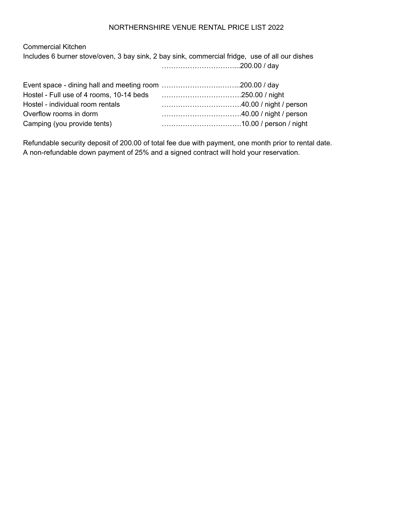### NORTHERNSHIRE VENUE RENTAL PRICE LIST 2022

Commercial Kitchen Includes 6 burner stove/oven, 3 bay sink, 2 bay sink, commercial fridge, use of all our dishes …………………………....200.00 / day

| Hostel - individual room rentals |  |
|----------------------------------|--|
| Overflow rooms in dorm           |  |
| Camping (you provide tents)      |  |
|                                  |  |

Refundable security deposit of 200.00 of total fee due with payment, one month prior to rental date. A non-refundable down payment of 25% and a signed contract will hold your reservation.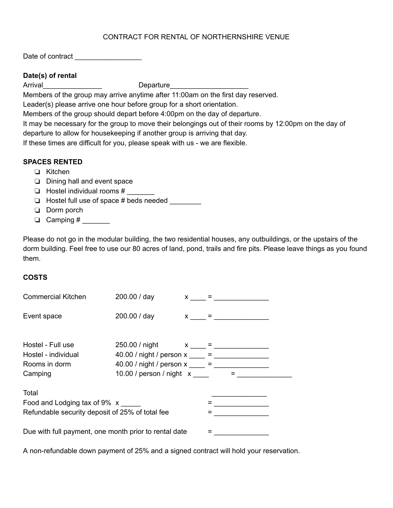## CONTRACT FOR RENTAL OF NORTHERNSHIRE VENUE

Date of contract \_\_\_\_\_\_\_\_\_\_\_\_\_\_\_\_\_

## **Date(s) of rental**

Arrival example and the Departure

Members of the group may arrive anytime after 11:00am on the first day reserved.

Leader(s) please arrive one hour before group for a short orientation.

Members of the group should depart before 4:00pm on the day of departure.

It may be necessary for the group to move their belongings out of their rooms by 12:00pm on the day of departure to allow for housekeeping if another group is arriving that day.

If these times are difficult for you, please speak with us - we are flexible.

# **SPACES RENTED**

- Kitchen
- $\Box$  Dining hall and event space
- $\Box$  Hostel individual rooms #
- Hostel full use of space # beds needed \_\_\_\_\_\_\_\_
- Dorm porch
- $\Box$  Camping # \_\_\_\_\_\_\_

Please do not go in the modular building, the two residential houses, any outbuildings, or the upstairs of the dorm building. Feel free to use our 80 acres of land, pond, trails and fire pits. Please leave things as you found them.

# **COSTS**

| <b>Commercial Kitchen</b>                                                                | 200.00 / day                                                                           |  | $x =$             |  |
|------------------------------------------------------------------------------------------|----------------------------------------------------------------------------------------|--|-------------------|--|
| Event space                                                                              | 200.00 / day                                                                           |  | $x \sim$ = $\sim$ |  |
| Hostel - Full use<br>Hostel - individual<br>Rooms in dorm                                | 250.00 / night $x_{\text{max}} =$<br>40.00 / night / person x ____ = _________________ |  |                   |  |
| Camping                                                                                  | 10.00 / person / night x                                                               |  | $=$ $\qquad$      |  |
| Total<br>Food and Lodging tax of 9% x<br>Refundable security deposit of 25% of total fee |                                                                                        |  |                   |  |
| Due with full payment, one month prior to rental date                                    |                                                                                        |  |                   |  |

A non-refundable down payment of 25% and a signed contract will hold your reservation.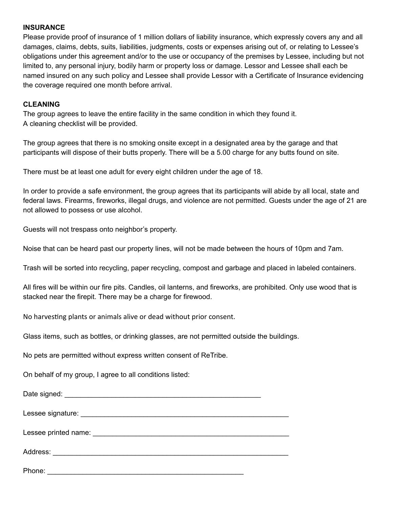### **INSURANCE**

Please provide proof of insurance of 1 million dollars of liability insurance, which expressly covers any and all damages, claims, debts, suits, liabilities, judgments, costs or expenses arising out of, or relating to Lessee's obligations under this agreement and/or to the use or occupancy of the premises by Lessee, including but not limited to, any personal injury, bodily harm or property loss or damage. Lessor and Lessee shall each be named insured on any such policy and Lessee shall provide Lessor with a Certificate of Insurance evidencing the coverage required one month before arrival.

### **CLEANING**

The group agrees to leave the entire facility in the same condition in which they found it. A cleaning checklist will be provided.

The group agrees that there is no smoking onsite except in a designated area by the garage and that participants will dispose of their butts properly. There will be a 5.00 charge for any butts found on site.

There must be at least one adult for every eight children under the age of 18.

In order to provide a safe environment, the group agrees that its participants will abide by all local, state and federal laws. Firearms, fireworks, illegal drugs, and violence are not permitted. Guests under the age of 21 are not allowed to possess or use alcohol.

Guests will not trespass onto neighbor's property.

Noise that can be heard past our property lines, will not be made between the hours of 10pm and 7am.

Trash will be sorted into recycling, paper recycling, compost and garbage and placed in labeled containers.

All fires will be within our fire pits. Candles, oil lanterns, and fireworks, are prohibited. Only use wood that is stacked near the firepit. There may be a charge for firewood.

No harvesting plants or animals alive or dead without prior consent.

Glass items, such as bottles, or drinking glasses, are not permitted outside the buildings.

No pets are permitted without express written consent of ReTribe.

On behalf of my group, I agree to all conditions listed:

Date signed: \_\_\_\_\_\_\_\_\_\_\_\_\_\_\_\_\_\_\_\_\_\_\_\_\_\_\_\_\_\_\_\_\_\_\_\_\_\_\_\_\_\_\_\_\_\_\_\_\_\_ Lessee signature:  $\Box$ Lessee printed name:  $\Box$ Address: \_\_\_\_\_\_\_\_\_\_\_\_\_\_\_\_\_\_\_\_\_\_\_\_\_\_\_\_\_\_\_\_\_\_\_\_\_\_\_\_\_\_\_\_\_\_\_\_\_\_\_\_\_\_\_\_\_\_\_\_ Phone: \_\_\_\_\_\_\_\_\_\_\_\_\_\_\_\_\_\_\_\_\_\_\_\_\_\_\_\_\_\_\_\_\_\_\_\_\_\_\_\_\_\_\_\_\_\_\_\_\_\_